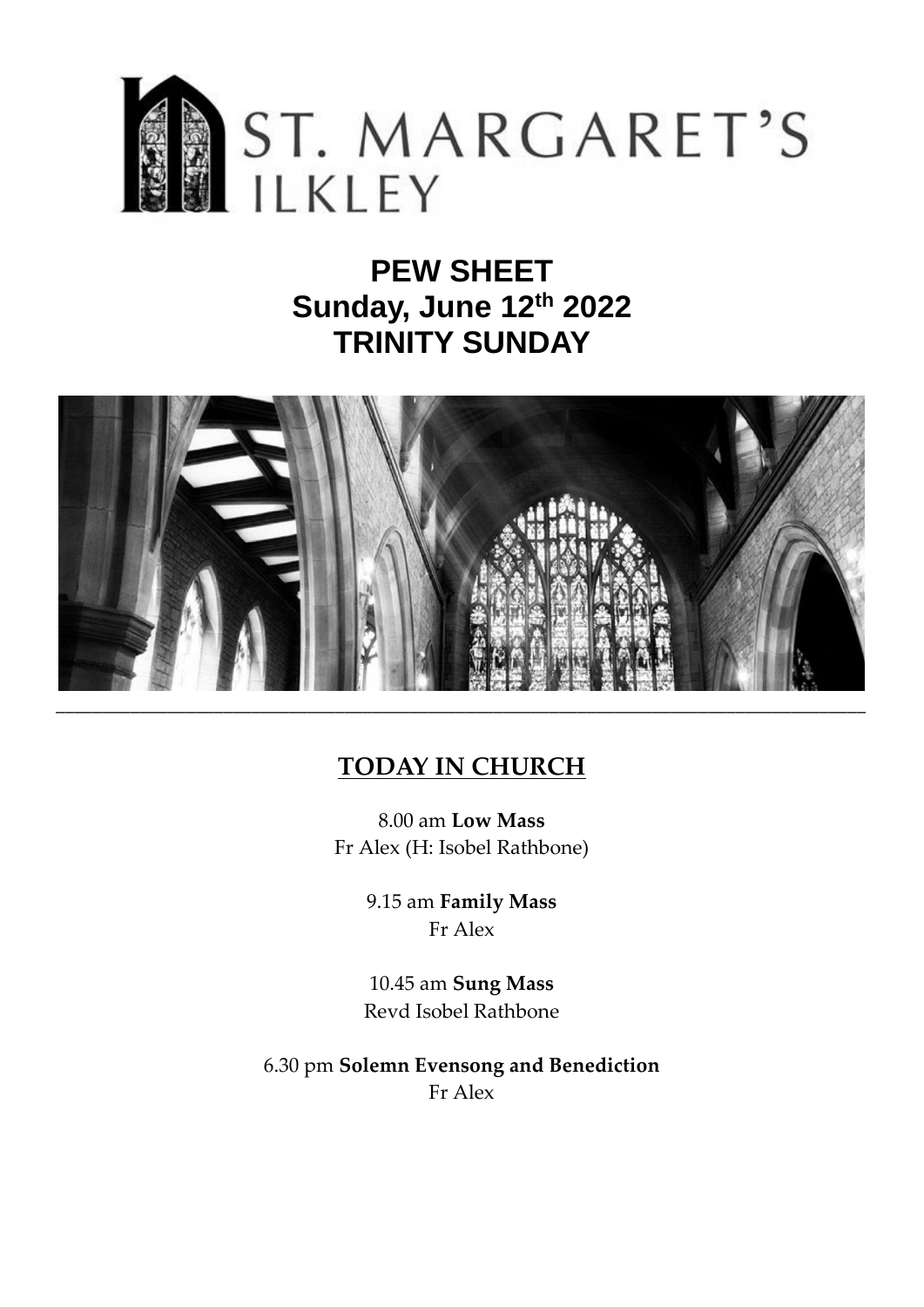

# **PEW SHEET Sunday, June 12th 2022 TRINITY SUNDAY**



## **TODAY IN CHURCH**

8.00 am **Low Mass** Fr Alex (H: Isobel Rathbone)

> 9.15 am **Family Mass** Fr Alex

10.45 am **Sung Mass** Revd Isobel Rathbone

6.30 pm **Solemn Evensong and Benediction** Fr Alex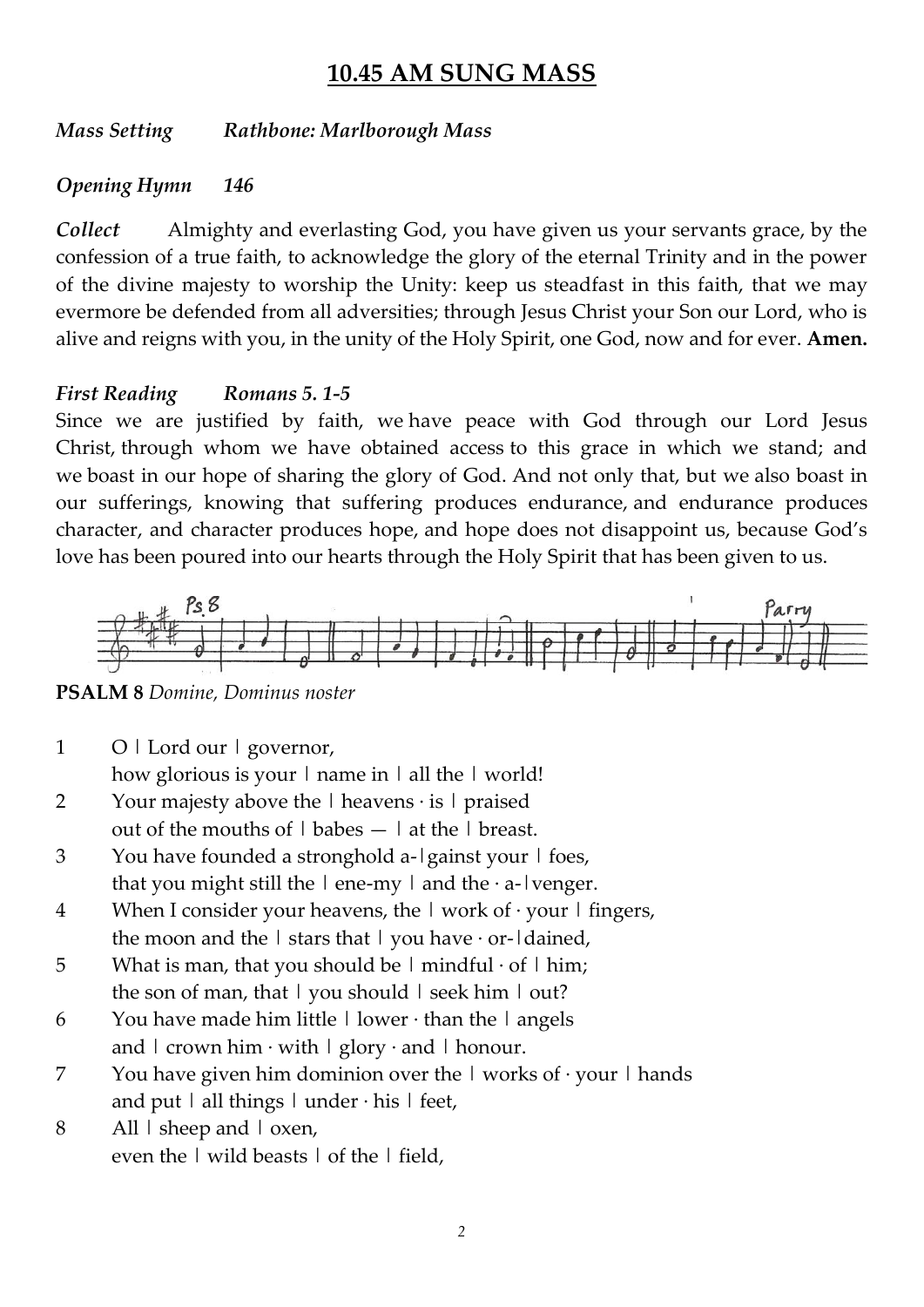## **10.45 AM SUNG MASS**

*Mass Setting Rathbone: Marlborough Mass*

#### *Opening Hymn 146*

*Collect* Almighty and everlasting God, you have given us your servants grace, by the confession of a true faith, to acknowledge the glory of the eternal Trinity and in the power of the divine majesty to worship the Unity: keep us steadfast in this faith, that we may evermore be defended from all adversities; through Jesus Christ your Son our Lord, who is alive and reigns with you, in the unity of the Holy Spirit, one God, now and for ever. **Amen.**

#### *First Reading Romans 5. 1-5*

Since we are justified by faith, we have peace with God through our Lord Jesus Christ, through whom we have obtained access to this grace in which we stand; and we boast in our hope of sharing the glory of God. And not only that, but we also boast in our sufferings, knowing that suffering produces endurance, and endurance produces character, and character produces hope, and hope does not disappoint us, because God's love has been poured into our hearts through the Holy Spirit that has been given to us.



**PSALM 8** *Domine, Dominus noster*

1 O | Lord our | governor, how glorious is your  $|$  name in  $|$  all the  $|$  world!

- 2 Your majesty above the  $\vert$  heavens  $\cdot$  is  $\vert$  praised out of the mouths of  $|$  babes  $|$  at the  $|$  breast.
- 3 You have founded a stronghold a-|gainst your | foes, that you might still the  $\vert$  ene-my  $\vert$  and the  $\cdot$  a- $\vert$  venger.
- 4 When I consider your heavens, the  $\vert$  work of  $\cdot$  your  $\vert$  fingers, the moon and the  $\vert$  stars that  $\vert$  you have  $\cdot$  or- $\vert$  dained,
- 5 What is man, that you should be  $|$  mindful  $\cdot$  of  $|$  him; the son of man, that  $\vert$  you should  $\vert$  seek him  $\vert$  out?
- 6 You have made him little  $\vert$  lower  $\cdot$  than the  $\vert$  angels and  $\vert$  crown him  $\cdot$  with  $\vert$  glory  $\cdot$  and  $\vert$  honour.
- 7 You have given him dominion over the  $\vert$  works of  $\cdot$  your  $\vert$  hands and put  $|$  all things  $|$  under  $\cdot$  his  $|$  feet,
- 8 All | sheep and | oxen, even the | wild beasts | of the | field,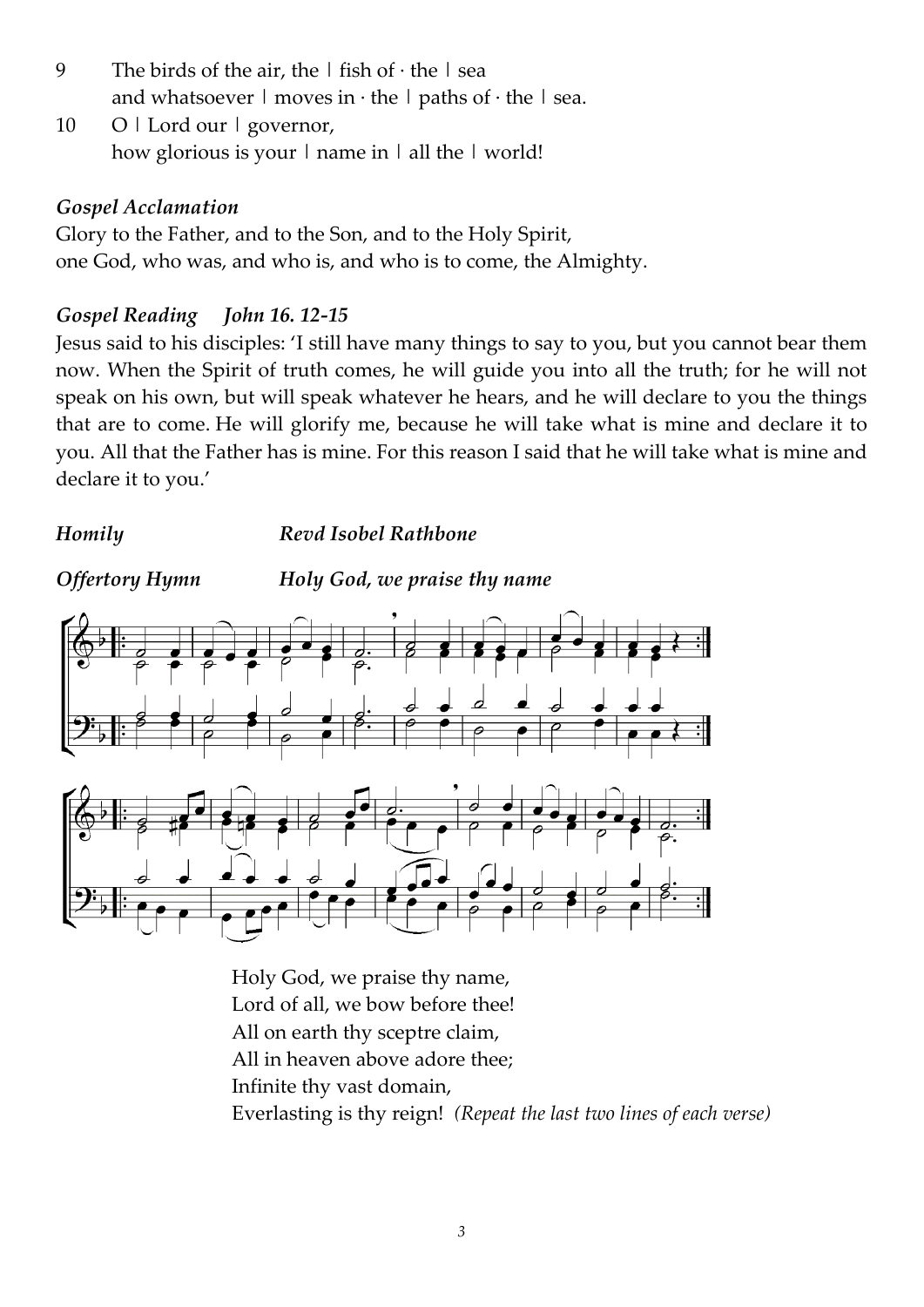- 9 The birds of the air, the  $|\text{ fish of }\cdot\text{ the }|$  sea and whatsoever  $\vert$  moves in  $\cdot$  the  $\vert$  paths of  $\cdot$  the  $\vert$  sea.
- 10 O | Lord our | governor, how glorious is your  $\vert$  name in  $\vert$  all the  $\vert$  world!

#### *Gospel Acclamation*

Glory to the Father, and to the Son, and to the Holy Spirit, one God, who was, and who is, and who is to come, the Almighty.

#### *Gospel Reading John 16. 12-15*

Jesus said to his disciples: 'I still have many things to say to you, but you cannot bear them now. When the Spirit of truth comes, he will guide you into all the truth; for he will not speak on his own, but will speak whatever he hears, and he will declare to you the things that are to come. He will glorify me, because he will take what is mine and declare it to you. All that the Father has is mine. For this reason I said that he will take what is mine and declare it to you.'

*Homily Revd Isobel Rathbone*



*Offertory Hymn Holy God, we praise thy name*



Holy God, we praise thy name, Lord of all, we bow before thee! All on earth thy sceptre claim, All in heaven above adore thee; Infinite thy vast domain, Everlasting is thy reign! *(Repeat the last two lines of each verse)*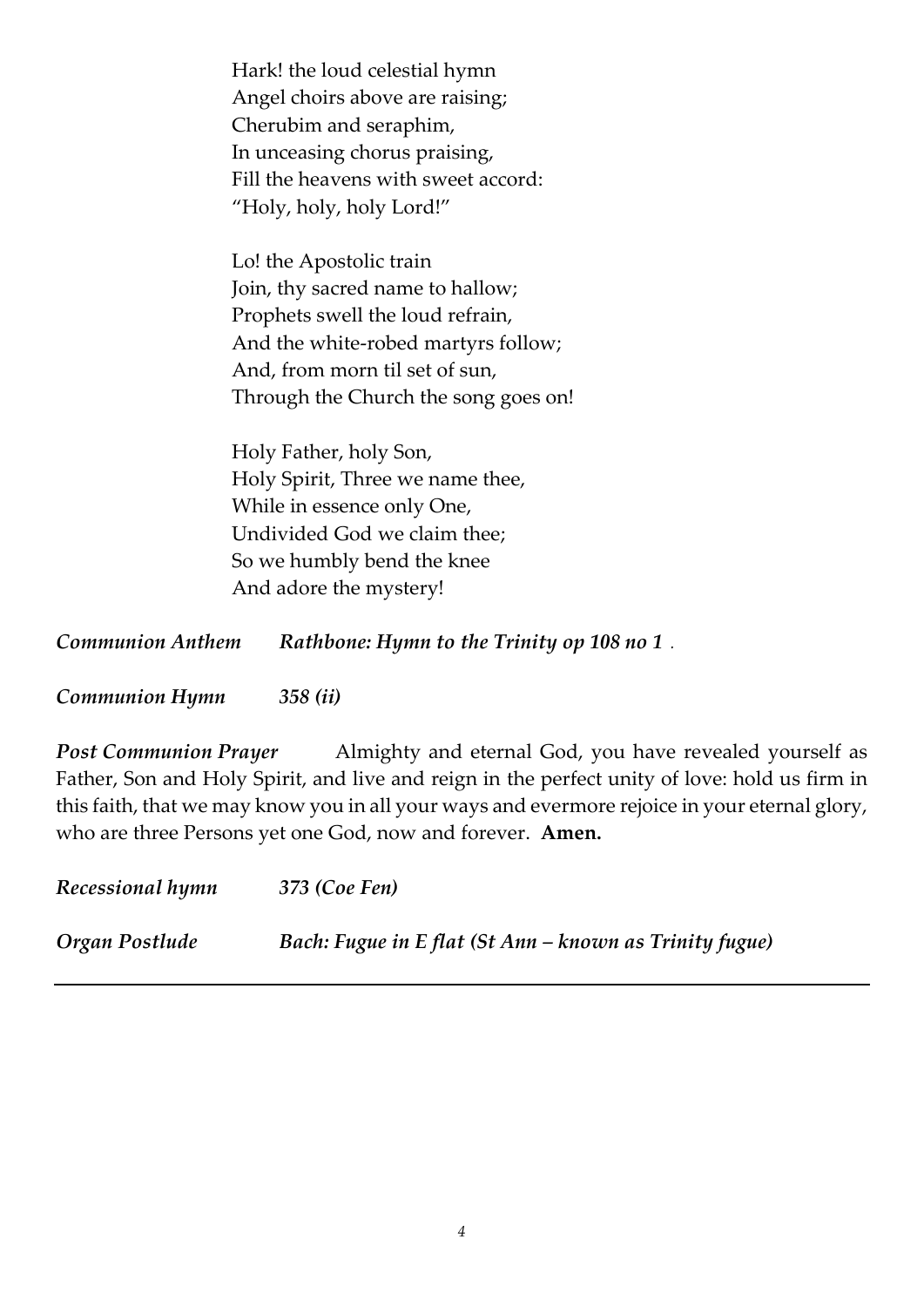Hark! the loud celestial hymn Angel choirs above are raising; Cherubim and seraphim, In unceasing chorus praising, Fill the heavens with sweet accord: "Holy, holy, holy Lord!"

Lo! the Apostolic train Join, thy sacred name to hallow; Prophets swell the loud refrain, And the white-robed martyrs follow; And, from morn til set of sun, Through the Church the song goes on!

Holy Father, holy Son, Holy Spirit, Three we name thee, While in essence only One, Undivided God we claim thee; So we humbly bend the knee And adore the mystery!

*Communion Anthem Rathbone: Hymn to the Trinity op 108 no 1 .*

*Communion Hymn 358 (ii)*

**Post Communion Prayer** Almighty and eternal God, you have revealed yourself as Father, Son and Holy Spirit, and live and reign in the perfect unity of love: hold us firm in this faith, that we may know you in all your ways and evermore rejoice in your eternal glory, who are three Persons yet one God, now and forever.**Amen.**

| Recessional hymn | 373 (Coe Fen)                                           |
|------------------|---------------------------------------------------------|
| Organ Postlude   | Bach: Fugue in E flat (St Ann – known as Trinity fugue) |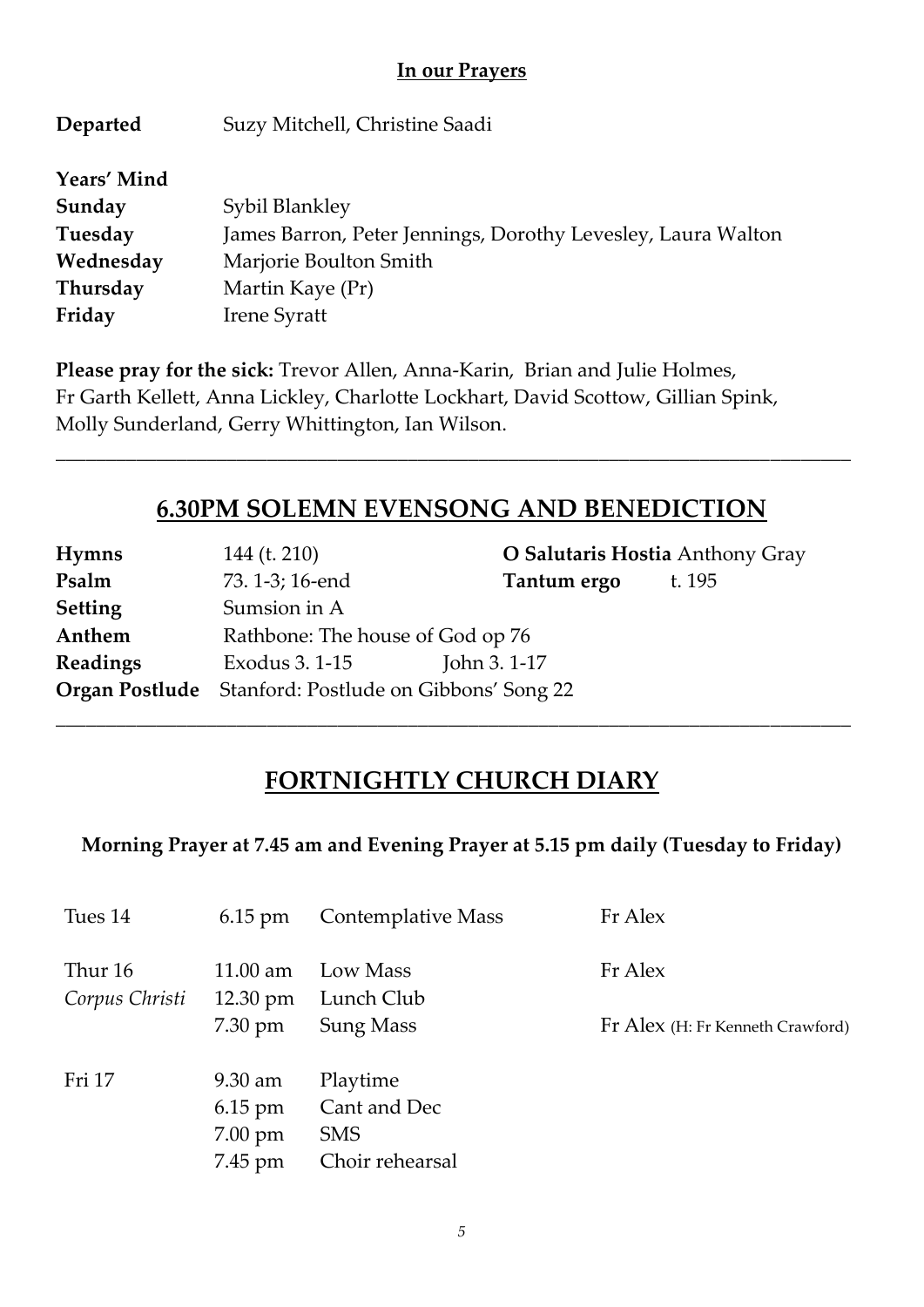#### **In our Prayers**

| Departed    | Suzy Mitchell, Christine Saadi                               |
|-------------|--------------------------------------------------------------|
| Years' Mind |                                                              |
| Sunday      | Sybil Blankley                                               |
| Tuesday     | James Barron, Peter Jennings, Dorothy Levesley, Laura Walton |
| Wednesday   | Marjorie Boulton Smith                                       |
| Thursday    | Martin Kaye (Pr)                                             |
| Friday      | <b>Irene Syratt</b>                                          |

**Please pray for the sick:** Trevor Allen, Anna-Karin, Brian and Julie Holmes, Fr Garth Kellett, Anna Lickley, Charlotte Lockhart, David Scottow, Gillian Spink, Molly Sunderland, Gerry Whittington, Ian Wilson.

### **6.30PM SOLEMN EVENSONG AND BENEDICTION**

*\_\_\_\_\_\_\_\_\_\_\_\_\_\_\_\_\_\_\_\_\_\_\_\_\_\_\_\_\_\_\_\_\_\_\_\_\_\_\_\_\_\_\_\_\_\_\_\_\_\_\_\_\_\_\_\_\_\_\_\_\_\_\_\_\_\_\_\_\_\_\_\_\_\_\_\_\_\_\_*

| <b>Hymns</b>    | 144 (t. 210)                                                 | O Salutaris Hostia Anthony Gray |        |
|-----------------|--------------------------------------------------------------|---------------------------------|--------|
| Psalm           | 73. 1-3; 16-end                                              | Tantum ergo                     | t. 195 |
| <b>Setting</b>  | Sumsion in A                                                 |                                 |        |
| Anthem          | Rathbone: The house of God op 76                             |                                 |        |
| <b>Readings</b> | Exodus 3. 1-15                                               | John 3.1-17                     |        |
|                 | <b>Organ Postlude</b> Stanford: Postlude on Gibbons' Song 22 |                                 |        |

## **FORTNIGHTLY CHURCH DIARY**

*\_\_\_\_\_\_\_\_\_\_\_\_\_\_\_\_\_\_\_\_\_\_\_\_\_\_\_\_\_\_\_\_\_\_\_\_\_\_\_\_\_\_\_\_\_\_\_\_\_\_\_\_\_\_\_\_\_\_\_\_\_\_\_\_\_\_\_\_\_\_\_\_\_\_\_\_\_\_\_*

**Morning Prayer at 7.45 am and Evening Prayer at 5.15 pm daily (Tuesday to Friday)**

| Tues 14                   | $6.15$ pm                                                              | <b>Contemplative Mass</b>                                 | Fr Alex                          |
|---------------------------|------------------------------------------------------------------------|-----------------------------------------------------------|----------------------------------|
| Thur 16<br>Corpus Christi | $11.00 \text{ am}$<br>$12.30 \text{ pm}$                               | Low Mass<br>Lunch Club                                    | Fr Alex                          |
|                           | $7.30 \text{ pm}$                                                      | <b>Sung Mass</b>                                          | Fr Alex (H: Fr Kenneth Crawford) |
| Fri 17                    | $9.30 \text{ am}$<br>$6.15 \text{ pm}$<br>$7.00 \text{ pm}$<br>7.45 pm | Playtime<br>Cant and Dec<br><b>SMS</b><br>Choir rehearsal |                                  |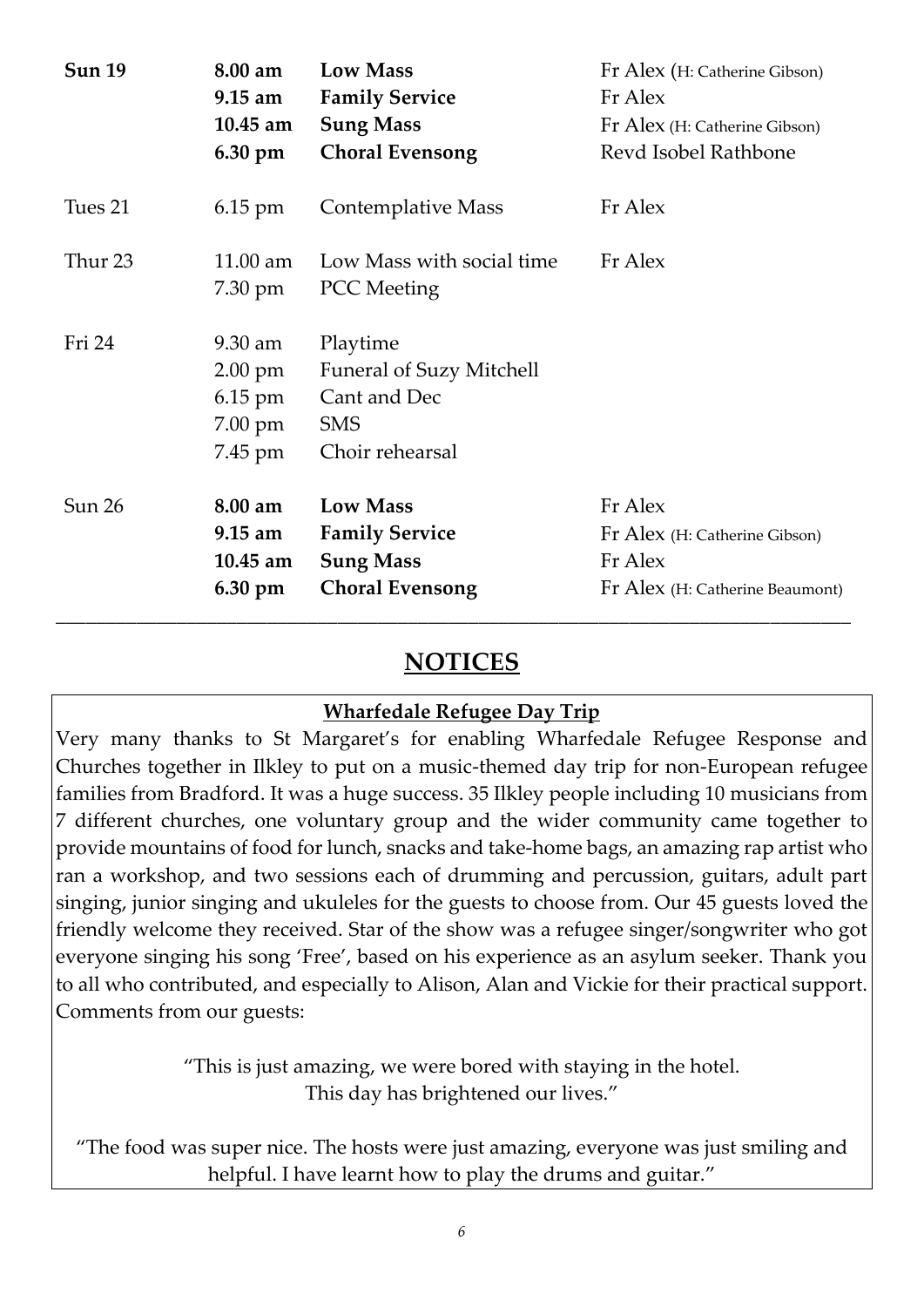| <b>Sun 19</b> | 8.00 am<br>$9.15 \text{ am}$<br>$10.45$ am<br>6.30 pm | <b>Low Mass</b><br><b>Family Service</b><br><b>Sung Mass</b><br><b>Choral Evensong</b>       | Fr Alex (H: Catherine Gibson)<br>Fr Alex<br>Fr Alex (H: Catherine Gibson)<br>Revd Isobel Rathbone |
|---------------|-------------------------------------------------------|----------------------------------------------------------------------------------------------|---------------------------------------------------------------------------------------------------|
| Tues 21       | $6.15 \text{ pm}$                                     | Contemplative Mass                                                                           | Fr Alex                                                                                           |
| Thur 23       | $11.00$ am<br>7.30 pm                                 | Low Mass with social time<br><b>PCC</b> Meeting                                              | Fr Alex                                                                                           |
| Fri 24        | 9.30 am<br>2.00 pm<br>$6.15$ pm<br>7.00 pm<br>7.45 pm | Playtime<br><b>Funeral of Suzy Mitchell</b><br>Cant and Dec<br><b>SMS</b><br>Choir rehearsal |                                                                                                   |
| Sun 26        | 8.00 am<br>$9.15 \text{ am}$<br>$10.45$ am<br>6.30 pm | <b>Low Mass</b><br><b>Family Service</b><br><b>Sung Mass</b><br><b>Choral Evensong</b>       | Fr Alex<br>Fr Alex (H: Catherine Gibson)<br>Fr Alex<br>Fr Alex (H: Catherine Beaumont)            |

## **NOTICES**

*\_\_\_\_\_\_\_\_\_\_\_\_\_\_\_\_\_\_\_\_\_\_\_\_\_\_\_\_\_\_\_\_\_\_\_\_\_\_\_\_\_\_\_\_\_\_\_\_\_\_\_\_\_\_\_\_\_\_\_\_\_\_\_\_\_\_\_\_\_\_\_\_\_\_\_\_\_\_\_*

#### **Wharfedale Refugee Day Trip**

Very many thanks to St Margaret's for enabling Wharfedale Refugee Response and Churches together in Ilkley to put on a music-themed day trip for non-European refugee families from Bradford. It was a huge success. 35 Ilkley people including 10 musicians from 7 different churches, one voluntary group and the wider community came together to provide mountains of food for lunch, snacks and take-home bags, an amazing rap artist who ran a workshop, and two sessions each of drumming and percussion, guitars, adult part singing, junior singing and ukuleles for the guests to choose from. Our 45 guests loved the friendly welcome they received. Star of the show was a refugee singer/songwriter who got everyone singing his song 'Free', based on his experience as an asylum seeker. Thank you to all who contributed, and especially to Alison, Alan and Vickie for their practical support. Comments from our guests:

> "This is just amazing, we were bored with staying in the hotel. This day has brightened our lives."

"The food was super nice. The hosts were just amazing, everyone was just smiling and helpful. I have learnt how to play the drums and guitar."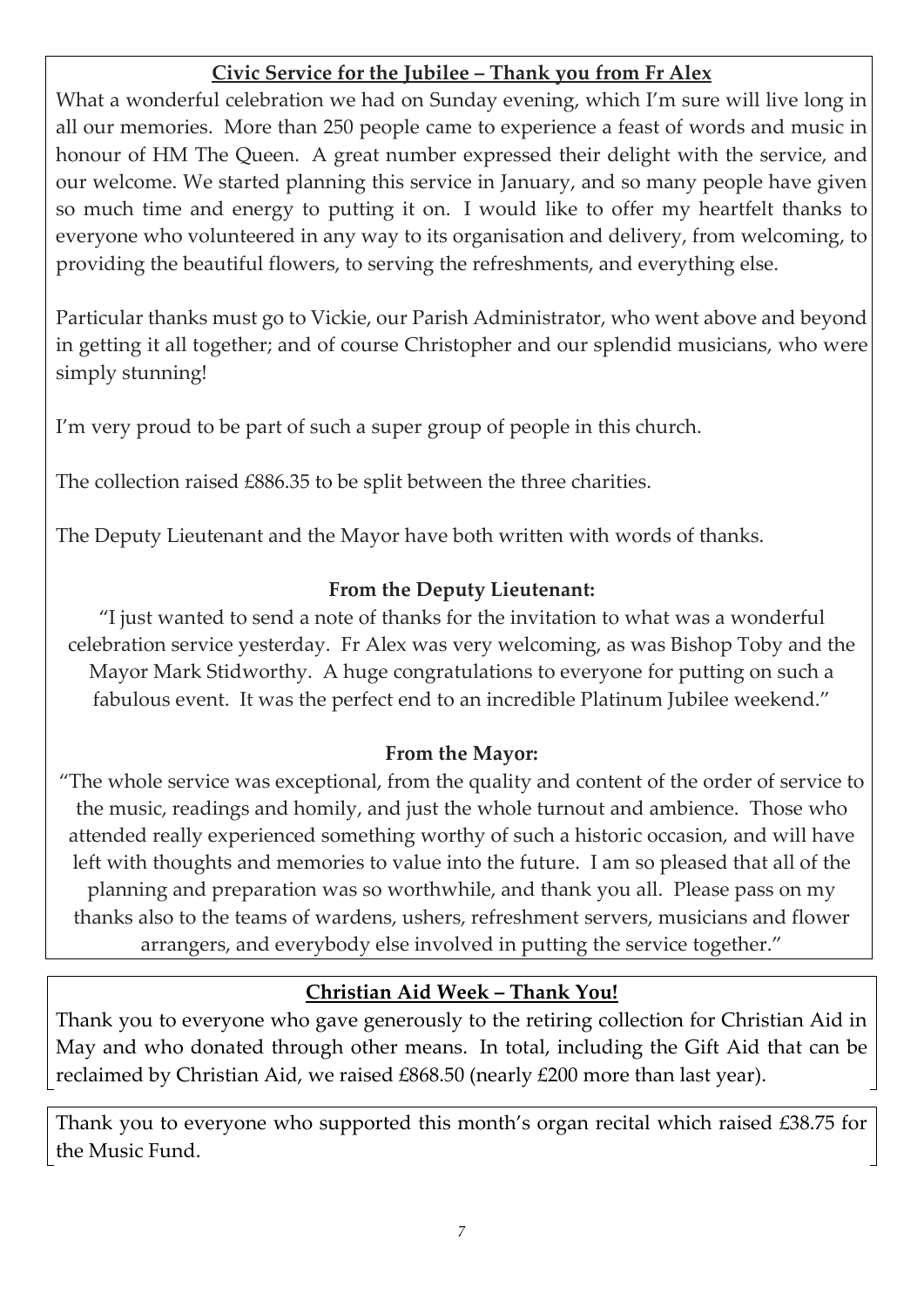#### **Civic Service for the Jubilee – Thank you from Fr Alex**

What a wonderful celebration we had on Sunday evening, which I'm sure will live long in all our memories. More than 250 people came to experience a feast of words and music in honour of HM The Queen. A great number expressed their delight with the service, and our welcome. We started planning this service in January, and so many people have given so much time and energy to putting it on. I would like to offer my heartfelt thanks to everyone who volunteered in any way to its organisation and delivery, from welcoming, to providing the beautiful flowers, to serving the refreshments, and everything else.

Particular thanks must go to Vickie, our Parish Administrator, who went above and beyond in getting it all together; and of course Christopher and our splendid musicians, who were simply stunning!

I'm very proud to be part of such a super group of people in this church.

The collection raised £886.35 to be split between the three charities.

The Deputy Lieutenant and the Mayor have both written with words of thanks.

#### **From the Deputy Lieutenant:**

"I just wanted to send a note of thanks for the invitation to what was a wonderful celebration service yesterday. Fr Alex was very welcoming, as was Bishop Toby and the Mayor Mark Stidworthy. A huge congratulations to everyone for putting on such a fabulous event. It was the perfect end to an incredible Platinum Jubilee weekend."

#### **From the Mayor:**

"The whole service was exceptional, from the quality and content of the order of service to the music, readings and homily, and just the whole turnout and ambience. Those who attended really experienced something worthy of such a historic occasion, and will have left with thoughts and memories to value into the future. I am so pleased that all of the planning and preparation was so worthwhile, and thank you all. Please pass on my thanks also to the teams of wardens, ushers, refreshment servers, musicians and flower arrangers, and everybody else involved in putting the service together."

#### **Christian Aid Week – Thank You!**

Thank you to everyone who gave generously to the retiring collection for Christian Aid in May and who donated through other means. In total, including the Gift Aid that can be reclaimed by Christian Aid, we raised £868.50 (nearly £200 more than last year).

Thank you to everyone who supported this month's organ recital which raised £38.75 for the Music Fund.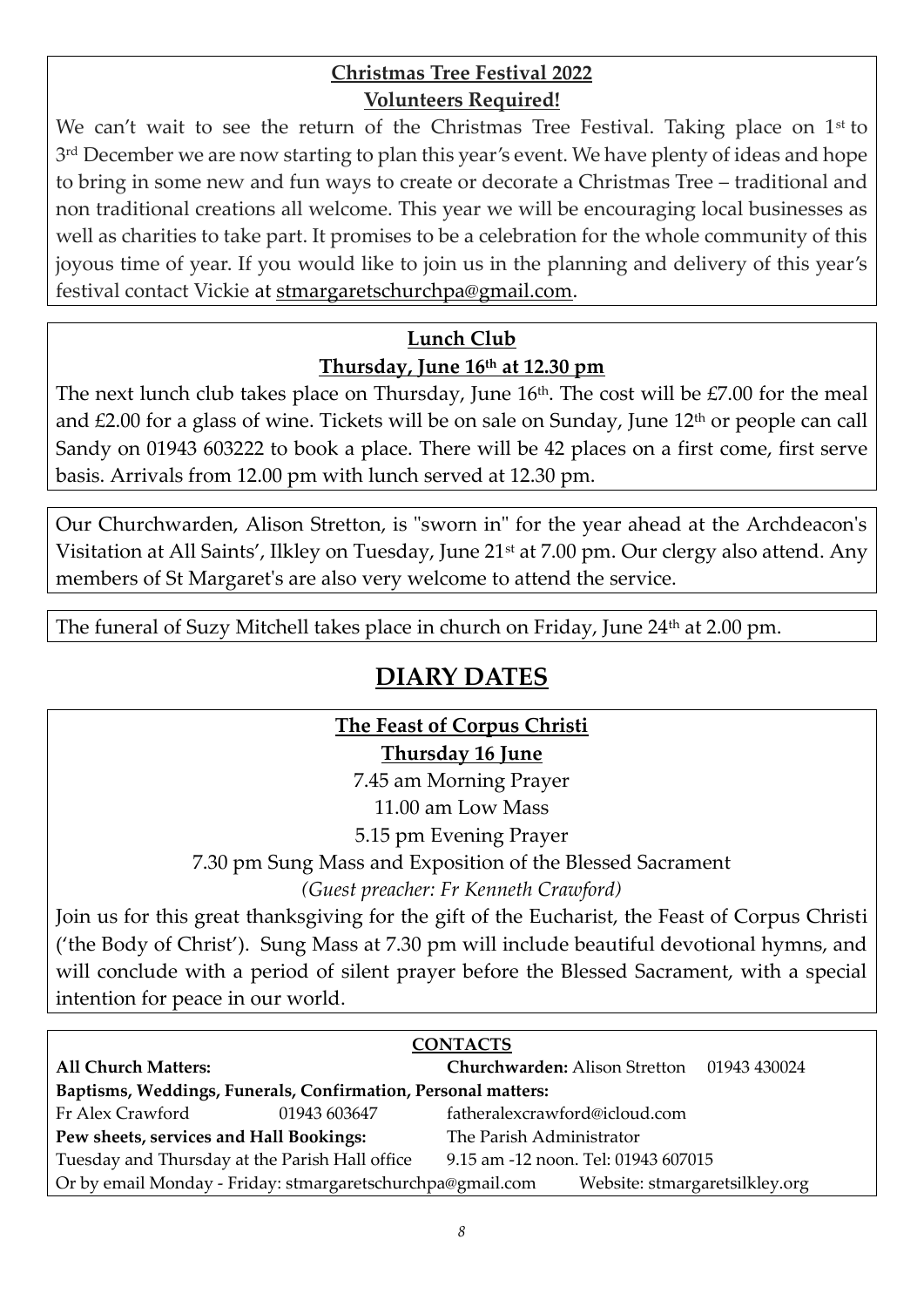#### **Christmas Tree Festival 2022 Volunteers Required!**

We can't wait to see the return of the Christmas Tree Festival. Taking place on 1<sup>st</sup> to 3 rd December we are now starting to plan this year's event. We have plenty of ideas and hope to bring in some new and fun ways to create or decorate a Christmas Tree – traditional and non traditional creations all welcome. This year we will be encouraging local businesses as well as charities to take part. It promises to be a celebration for the whole community of this joyous time of year. If you would like to join us in the planning and delivery of this year's festival contact Vickie at [stmargaretschurchpa@gmail.com.](mailto:stmargaretschurchpa@gmail.com)

## **Lunch Club Thursday, June 16th at 12.30 pm**

The next lunch club takes place on Thursday, June  $16<sup>th</sup>$ . The cost will be £7.00 for the meal and  $£2.00$  for a glass of wine. Tickets will be on sale on Sunday, June  $12<sup>th</sup>$  or people can call Sandy on 01943 603222 to book a place. There will be 42 places on a first come, first serve basis. Arrivals from 12.00 pm with lunch served at 12.30 pm.

Our Churchwarden, Alison Stretton, is "sworn in" for the year ahead at the Archdeacon's Visitation at All Saints', Ilkley on Tuesday, June 21st at 7.00 pm. Our clergy also attend. Any members of St Margaret's are also very welcome to attend the service.

The funeral of Suzy Mitchell takes place in church on Friday, June 24<sup>th</sup> at 2.00 pm.

# **DIARY DATES**

#### **The Feast of Corpus Christi Thursday 16 June**

7.45 am Morning Prayer

11.00 am Low Mass

5.15 pm Evening Prayer

7.30 pm Sung Mass and Exposition of the Blessed Sacrament

*(Guest preacher: Fr Kenneth Crawford)*

Join us for this great thanksgiving for the gift of the Eucharist, the Feast of Corpus Christi ('the Body of Christ'). Sung Mass at 7.30 pm will include beautiful devotional hymns, and will conclude with a period of silent prayer before the Blessed Sacrament, with a special intention for peace in our world.

| <b>CONTACTS</b>                                               |              |                                            |                                |  |
|---------------------------------------------------------------|--------------|--------------------------------------------|--------------------------------|--|
| <b>All Church Matters:</b>                                    |              | Churchwarden: Alison Stretton 01943 430024 |                                |  |
| Baptisms, Weddings, Funerals, Confirmation, Personal matters: |              |                                            |                                |  |
| Fr Alex Crawford                                              | 01943 603647 | fatheralexcrawford@icloud.com              |                                |  |
| Pew sheets, services and Hall Bookings:                       |              | The Parish Administrator                   |                                |  |
| Tuesday and Thursday at the Parish Hall office                |              | 9.15 am -12 noon. Tel: 01943 607015        |                                |  |
| Or by email Monday - Friday: stmargaretschurchpa@gmail.com    |              |                                            | Website: stmargaretsilkley.org |  |